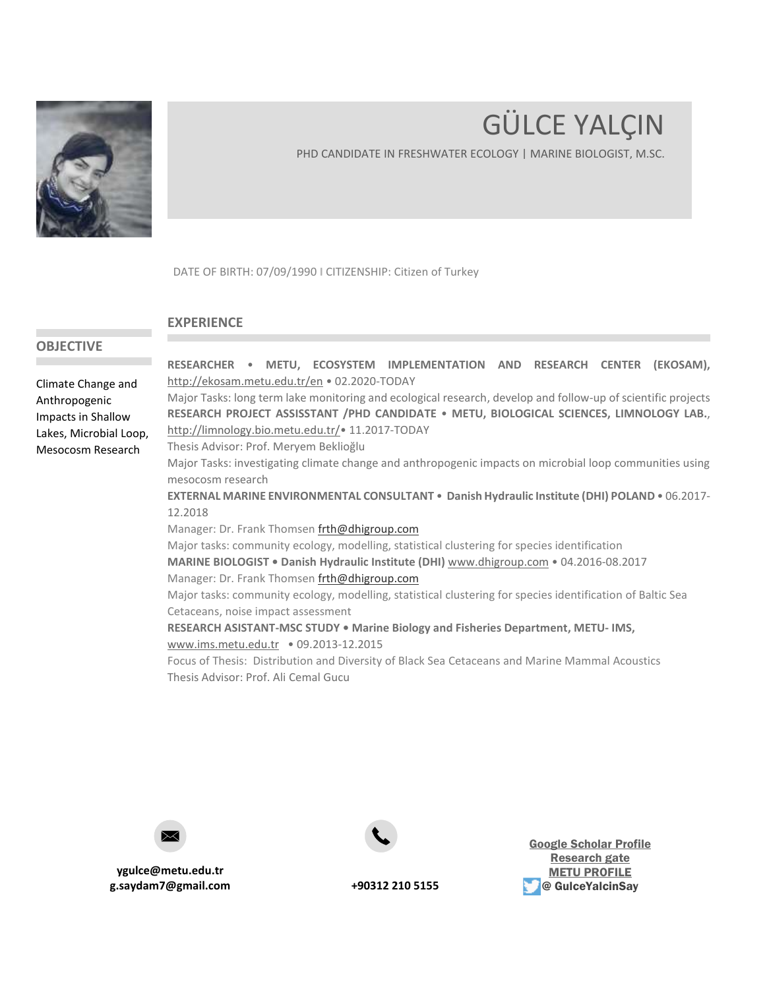

# GÜLCE YALÇIN

PHD CANDIDATE IN FRESHWATER ECOLOGY | MARINE BIOLOGIST, M.SC.

DATE OF BIRTH: 07/09/1990 **I** CITIZENSHIP: Citizen of Turkey

## <span id="page-0-0"></span>**EXPERIENCE**

# **OBJECTIVE**

Climate Change and Anthropogenic Impacts in Shallow Lakes, Microbial Loop, Mesocosm Research

**RESEARCHER** • **METU, ECOSYSTEM IMPLEMENTATION AND RESEARCH CENTER (EKOSAM),** <http://ekosam.metu.edu.tr/en> • 02.2020-TODAY

Major Tasks: long term lake monitoring and ecological research, develop and follow-up of scientific projects **RESEARCH PROJECT ASSISSTANT /PHD CANDIDATE** • **METU, BIOLOGICAL SCIENCES, LIMNOLOGY LAB.**, <http://limnology.bio.metu.edu.tr/>• 11.2017-TODAY

Thesis Advisor: Prof. Meryem Beklioğlu

Major Tasks: investigating climate change and anthropogenic impacts on microbial loop communities using mesocosm research

**EXTERNAL MARINE ENVIRONMENTAL CONSULTANT** • **Danish Hydraulic Institute (DHI) POLAND** • 06.2017- 12.2018

Manager: Dr. Frank Thomse[n frth@dhigroup.com](mailto:frth@dhigroup.com)

Major tasks: community ecology, modelling, statistical clustering for species identification

**MARINE BIOLOGIST • Danish Hydraulic Institute (DHI)** [www.dhigroup.com](http://www.dhigroup.com/) • 04.2016-08.2017

Manager: Dr. Frank Thomse[n frth@dhigroup.com](mailto:frth@dhigroup.com)

Major tasks: community ecology, modelling, statistical clustering for species identification of Baltic Sea Cetaceans, noise impact assessment

**RESEARCH ASISTANT-MSC STUDY • Marine Biology and Fisheries Department, METU- IMS,** [www.ims.metu.edu.tr](http://www.ims.metu.edu.tr/) • 09.2013-12.2015

Focus of Thesis: Distribution and Diversity of Black Sea Cetaceans and Marine Mammal Acoustics Thesis Advisor: Prof. Ali Cemal Gucu

**ygulce@metu.edu.tr g.saydam7@gmail.com +90312 210 5155**



[Google Scholar Profile](https://scholar.google.com/citations?user=PFkQkvIAAAAJ&hl=en&oi=ao) [Research](https://www.researchgate.net/profile/Guelce-Yalcin) gate [METU PROFILE](https://avesis.metu.edu.tr/ygulce) **@ GulceYalcinSay**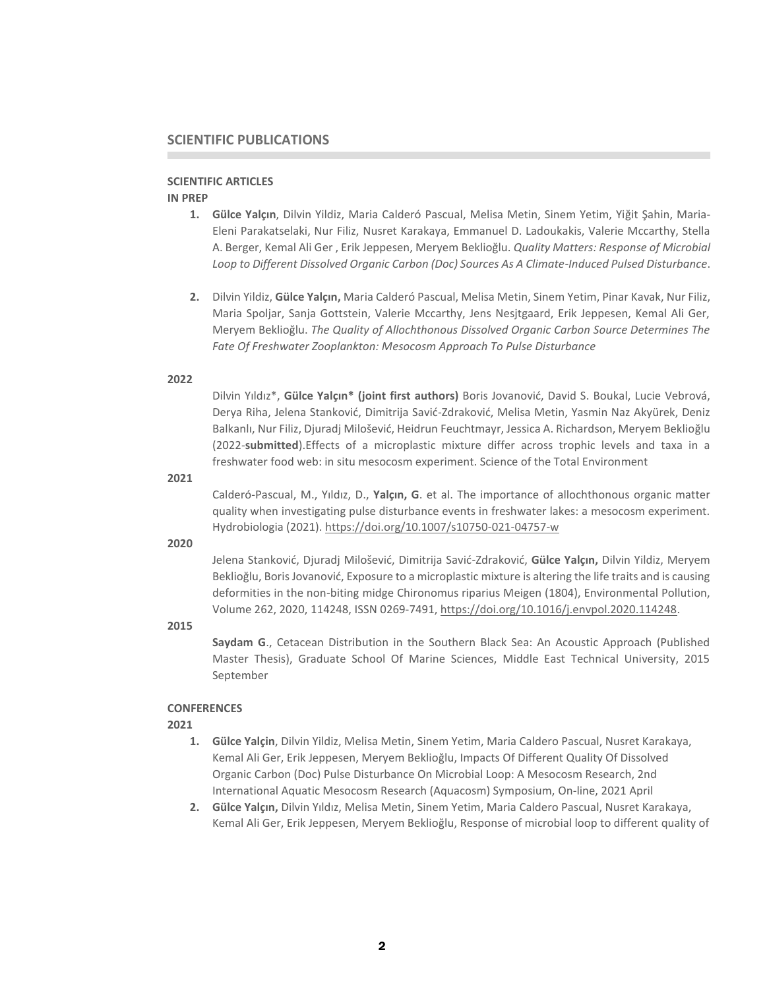# **SCIENTIFIC PUBLICATIONS**

#### **SCIENTIFIC ARTICLES**

# **IN PREP**

- **1. Gülce Yalçın**, Dilvin Yildiz, Maria Calderó Pascual, Melisa Metin, Sinem Yetim, Yiğit Şahin, Maria-Eleni Parakatselaki, Nur Filiz, Nusret Karakaya, Emmanuel D. Ladoukakis, Valerie Mccarthy, Stella A. Berger, Kemal Ali Ger , Erik Jeppesen, Meryem Beklioğlu. *Quality Matters: Response of Microbial Loop to Different Dissolved Organic Carbon (Doc) Sources As A Climate-Induced Pulsed Disturbance*.
- **2.** Dilvin Yildiz, **Gülce Yalçın,** Maria Calderó Pascual, Melisa Metin, Sinem Yetim, Pinar Kavak, Nur Filiz, Maria Spoljar, Sanja Gottstein, Valerie Mccarthy, Jens Nesjtgaard, Erik Jeppesen, Kemal Ali Ger, Meryem Beklioğlu. *The Quality of Allochthonous Dissolved Organic Carbon Source Determines The Fate Of Freshwater Zooplankton: Mesocosm Approach To Pulse Disturbance*

#### **2022**

Dilvin Yıldız\*, **Gülce Yalçın\* (joint first authors)** Boris Jovanović, David S. Boukal, Lucie Vebrová, Derya Riha, Jelena Stanković, Dimitrija Savić-Zdraković, Melisa Metin, Yasmin Naz Akyürek, Deniz Balkanlı, Nur Filiz, Djuradj Milošević, Heidrun Feuchtmayr, Jessica A. Richardson, Meryem Beklioğlu (2022-**submitted**).Effects of a microplastic mixture differ across trophic levels and taxa in a freshwater food web: in situ mesocosm experiment. Science of the Total Environment

#### **2021**

Calderó-Pascual, M., Yıldız, D., **Yalçın, G**. et al. The importance of allochthonous organic matter quality when investigating pulse disturbance events in freshwater lakes: a mesocosm experiment. Hydrobiologia (2021).<https://doi.org/10.1007/s10750-021-04757-w>

#### **2020**

Jelena Stanković, Djuradj Milošević, Dimitrija Savić-Zdraković, **Gülce Yalçın,** Dilvin Yildiz, Meryem Beklioğlu, Boris Jovanović, Exposure to a microplastic mixture is altering the life traits and is causing deformities in the non-biting midge Chironomus riparius Meigen (1804), Environmental Pollution, Volume 262, 2020, 114248, ISSN 0269-7491[, https://doi.org/10.1016/j.envpol.2020.114248.](https://doi.org/10.1016/j.envpol.2020.114248)

#### **2015**

**Saydam G**., Cetacean Distribution in the Southern Black Sea: An Acoustic Approach (Published Master Thesis), Graduate School Of Marine Sciences, Middle East Technical University, 2015 September

#### **CONFERENCES**

# **2021**

- **1. Gülce Yalçin**, Dilvin Yildiz, Melisa Metin, Sinem Yetim, Maria Caldero Pascual, Nusret Karakaya, Kemal Ali Ger, Erik Jeppesen, Meryem Beklioğlu, Impacts Of Different Quality Of Dissolved Organic Carbon (Doc) Pulse Disturbance On Microbial Loop: A Mesocosm Research, 2nd International Aquatic Mesocosm Research (Aquacosm) Symposium, On-line, 2021 April
- **2. Gülce Yalçın,** Dilvin Yıldız, Melisa Metin, Sinem Yetim, Maria Caldero Pascual, Nusret Karakaya, Kemal Ali Ger, Erik Jeppesen, Meryem Beklioğlu, Response of microbial loop to different quality of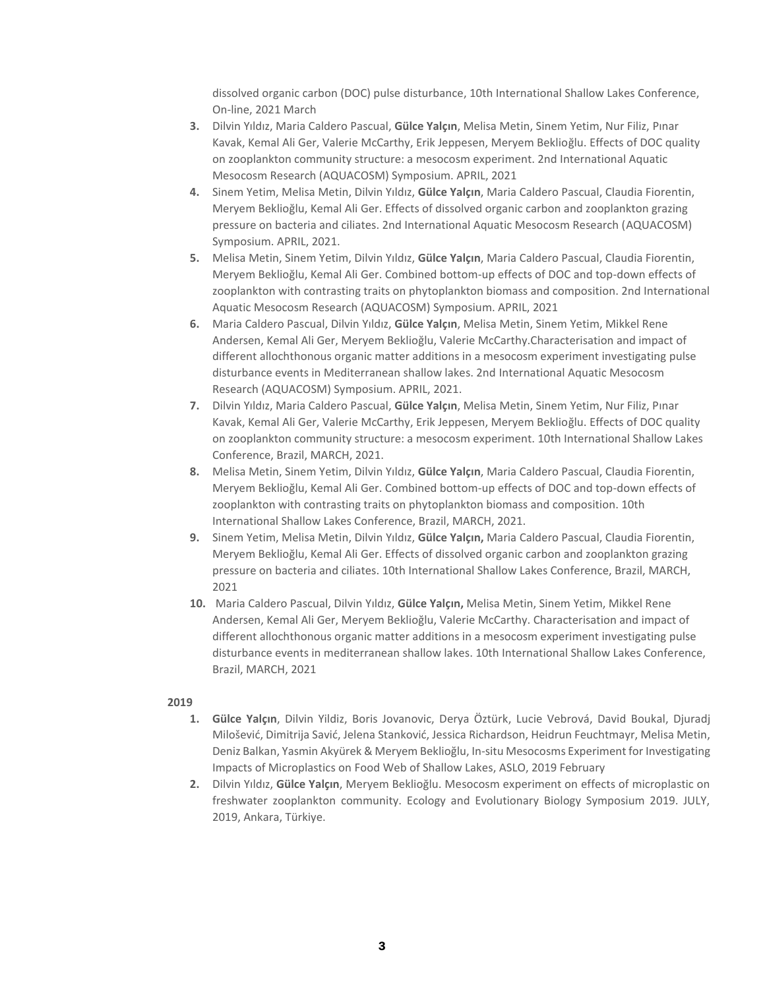dissolved organic carbon (DOC) pulse disturbance, 10th International Shallow Lakes Conference, On-line, 2021 March

- **3.** Dilvin Yıldız, Maria Caldero Pascual, **Gülce Yalçın**, Melisa Metin, Sinem Yetim, Nur Filiz, Pınar Kavak, Kemal Ali Ger, Valerie McCarthy, Erik Jeppesen, Meryem Beklioğlu. Effects of DOC quality on zooplankton community structure: a mesocosm experiment. 2nd International Aquatic Mesocosm Research (AQUACOSM) Symposium. APRIL, 2021
- **4.** Sinem Yetim, Melisa Metin, Dilvin Yıldız, **Gülce Yalçın**, Maria Caldero Pascual, Claudia Fiorentin, Meryem Beklioğlu, Kemal Ali Ger. Effects of dissolved organic carbon and zooplankton grazing pressure on bacteria and ciliates. 2nd International Aquatic Mesocosm Research (AQUACOSM) Symposium. APRIL, 2021.
- **5.** Melisa Metin, Sinem Yetim, Dilvin Yıldız, **Gülce Yalçın**, Maria Caldero Pascual, Claudia Fiorentin, Meryem Beklioğlu, Kemal Ali Ger. Combined bottom-up effects of DOC and top-down effects of zooplankton with contrasting traits on phytoplankton biomass and composition. 2nd International Aquatic Mesocosm Research (AQUACOSM) Symposium. APRIL, 2021
- **6.** Maria Caldero Pascual, Dilvin Yıldız, **Gülce Yalçın**, Melisa Metin, Sinem Yetim, Mikkel Rene Andersen, Kemal Ali Ger, Meryem Beklioğlu, Valerie McCarthy.Characterisation and impact of different allochthonous organic matter additions in a mesocosm experiment investigating pulse disturbance events in Mediterranean shallow lakes. 2nd International Aquatic Mesocosm Research (AQUACOSM) Symposium. APRIL, 2021.
- **7.** Dilvin Yıldız, Maria Caldero Pascual, **Gülce Yalçın**, Melisa Metin, Sinem Yetim, Nur Filiz, Pınar Kavak, Kemal Ali Ger, Valerie McCarthy, Erik Jeppesen, Meryem Beklioğlu. Effects of DOC quality on zooplankton community structure: a mesocosm experiment. 10th International Shallow Lakes Conference, Brazil, MARCH, 2021.
- **8.** Melisa Metin, Sinem Yetim, Dilvin Yıldız, **Gülce Yalçın**, Maria Caldero Pascual, Claudia Fiorentin, Meryem Beklioğlu, Kemal Ali Ger. Combined bottom-up effects of DOC and top-down effects of zooplankton with contrasting traits on phytoplankton biomass and composition. 10th International Shallow Lakes Conference, Brazil, MARCH, 2021.
- **9.** Sinem Yetim, Melisa Metin, Dilvin Yıldız, **Gülce Yalçın,** Maria Caldero Pascual, Claudia Fiorentin, Meryem Beklioğlu, Kemal Ali Ger. Effects of dissolved organic carbon and zooplankton grazing pressure on bacteria and ciliates. 10th International Shallow Lakes Conference, Brazil, MARCH, 2021
- **10.** Maria Caldero Pascual, Dilvin Yıldız, **Gülce Yalçın,** Melisa Metin, Sinem Yetim, Mikkel Rene Andersen, Kemal Ali Ger, Meryem Beklioğlu, Valerie McCarthy. Characterisation and impact of different allochthonous organic matter additions in a mesocosm experiment investigating pulse disturbance events in mediterranean shallow lakes. 10th International Shallow Lakes Conference, Brazil, MARCH, 2021

# **2019**

- **1. Gülce Yalçın**, Dilvin Yildiz, Boris Jovanovic, Derya Öztürk, Lucie Vebrová, David Boukal, Djuradj Milošević, Dimitrija Savić, Jelena Stanković, Jessica Richardson, Heidrun Feuchtmayr, Melisa Metin, Deniz Balkan, Yasmin Akyürek & Meryem Beklioğlu, In-situ Mesocosms Experiment for Investigating Impacts of Microplastics on Food Web of Shallow Lakes, ASLO, 2019 February
- **2.** Dilvin Yıldız, **Gülce Yalçın**, Meryem Beklioğlu. Mesocosm experiment on effects of microplastic on freshwater zooplankton community. Ecology and Evolutionary Biology Symposium 2019. JULY, 2019, Ankara, Türkiye.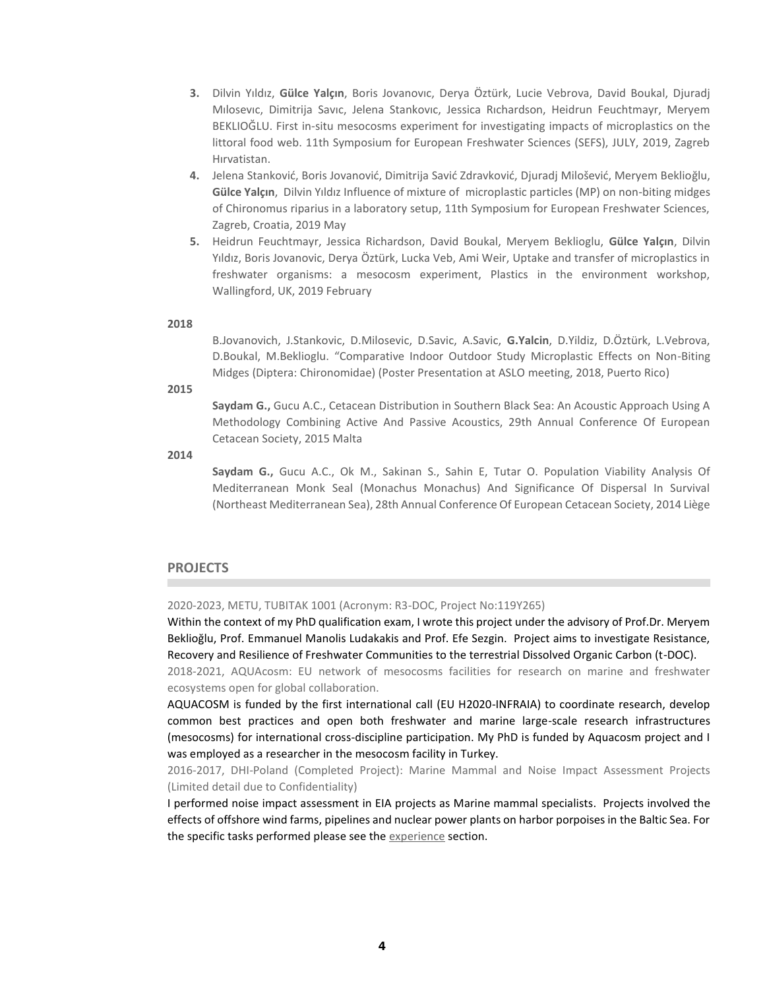- **3.** Dilvin Yıldız, **Gülce Yalçın**, Boris Jovanovıc, Derya Öztürk, Lucie Vebrova, David Boukal, Djuradj Mılosevıc, Dimitrija Savıc, Jelena Stankovıc, Jessica Rıchardson, Heidrun Feuchtmayr, Meryem BEKLIOĞLU. First in-situ mesocosms experiment for investigating impacts of microplastics on the littoral food web. 11th Symposium for European Freshwater Sciences (SEFS), JULY, 2019, Zagreb Hırvatistan.
- **4.** Jelena Stanković, Boris Jovanović, Dimitrija Savić Zdravković, Djuradj Milošević, Meryem Beklioğlu, **Gülce Yalçın**, Dilvin Yıldız Influence of mixture of microplastic particles (MP) on non-biting midges of Chironomus riparius in a laboratory setup, 11th Symposium for European Freshwater Sciences, Zagreb, Croatia, 2019 May
- **5.** Heidrun Feuchtmayr, Jessica Richardson, David Boukal, Meryem Beklioglu, **Gülce Yalçın**, Dilvin Yıldız, Boris Jovanovic, Derya Öztürk, Lucka Veb, Ami Weir, Uptake and transfer of microplastics in freshwater organisms: a mesocosm experiment, Plastics in the environment workshop, Wallingford, UK, 2019 February

# **2018**

B.Jovanovich, J.Stankovic, D.Milosevic, D.Savic, A.Savic, **G.Yalcin**, D.Yildiz, D.Öztürk, L.Vebrova, D.Boukal, M.Beklioglu. "Comparative Indoor Outdoor Study Microplastic Effects on Non-Biting Midges (Diptera: Chironomidae) (Poster Presentation at ASLO meeting, 2018, Puerto Rico)

**2015**

**Saydam G.,** Gucu A.C., Cetacean Distribution in Southern Black Sea: An Acoustic Approach Using A Methodology Combining Active And Passive Acoustics, 29th Annual Conference Of European Cetacean Society, 2015 Malta

**2014**

**Saydam G.,** Gucu A.C., Ok M., Sakinan S., Sahin E, Tutar O. Population Viability Analysis Of Mediterranean Monk Seal (Monachus Monachus) And Significance Of Dispersal In Survival (Northeast Mediterranean Sea), 28th Annual Conference Of European Cetacean Society, 2014 Liège

#### **PROJECTS**

2020-2023, METU, TUBITAK 1001 (Acronym: R3-DOC, Project No:119Y265)

Within the context of my PhD qualification exam, I wrote this project under the advisory of Prof.Dr. Meryem Beklioğlu, Prof. Emmanuel Manolis Ludakakis and Prof. Efe Sezgin. Project aims to investigate Resistance, Recovery and Resilience of Freshwater Communities to the terrestrial Dissolved Organic Carbon (t-DOC).

2018-2021, AQUAcosm: EU network of mesocosms facilities for research on marine and freshwater ecosystems open for global collaboration.

AQUACOSM is funded by the first international call (EU H2020-INFRAIA) to coordinate research, develop common best practices and open both freshwater and marine large-scale research infrastructures (mesocosms) for international cross-discipline participation. My PhD is funded by Aquacosm project and I was employed as a researcher in the mesocosm facility in Turkey.

2016-2017, DHI-Poland (Completed Project): Marine Mammal and Noise Impact Assessment Projects (Limited detail due to Confidentiality)

I performed noise impact assessment in EIA projects as Marine mammal specialists. Projects involved the effects of offshore wind farms, pipelines and nuclear power plants on harbor porpoises in the Baltic Sea. For the specific tasks performed please see th[e experience](#page-0-0) section.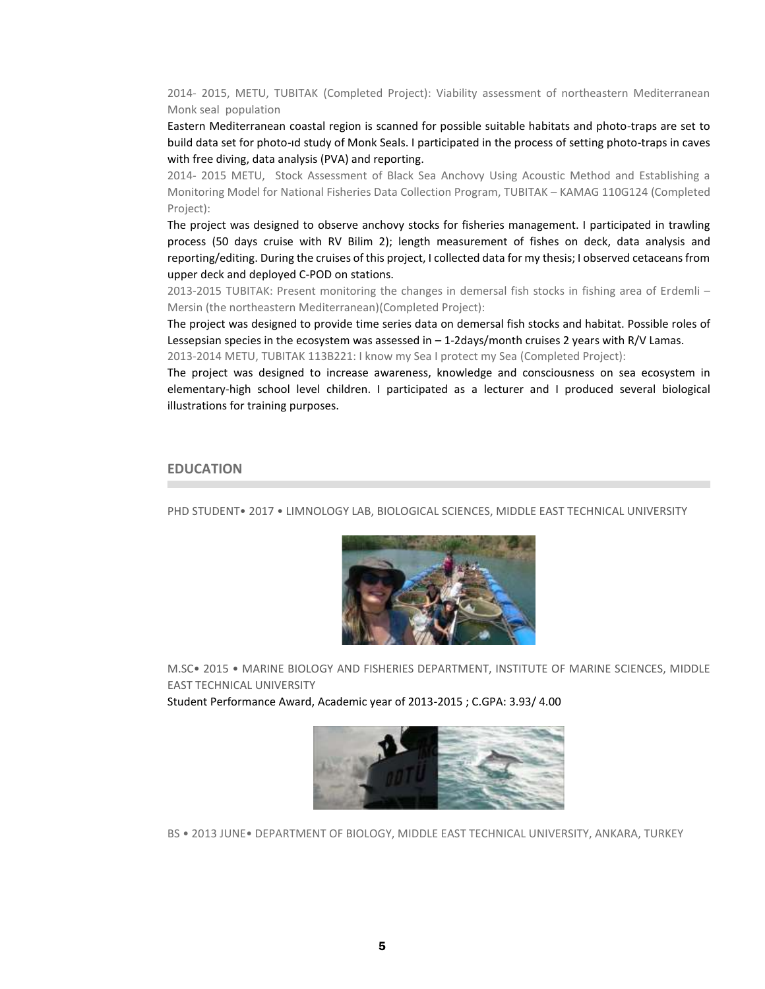2014- 2015, METU, TUBITAK (Completed Project): Viability assessment of northeastern Mediterranean Monk seal population

Eastern Mediterranean coastal region is scanned for possible suitable habitats and photo-traps are set to build data set for photo-ıd study of Monk Seals. I participated in the process of setting photo-traps in caves with free diving, data analysis (PVA) and reporting.

2014- 2015 METU, Stock Assessment of Black Sea Anchovy Using Acoustic Method and Establishing a Monitoring Model for National Fisheries Data Collection Program, TUBITAK – KAMAG 110G124 (Completed Project):

The project was designed to observe anchovy stocks for fisheries management. I participated in trawling process (50 days cruise with RV Bilim 2); length measurement of fishes on deck, data analysis and reporting/editing. During the cruises of this project, I collected data for my thesis; I observed cetaceans from upper deck and deployed C-POD on stations.

2013-2015 TUBITAK: Present monitoring the changes in demersal fish stocks in fishing area of Erdemli – Mersin (the northeastern Mediterranean)(Completed Project):

The project was designed to provide time series data on demersal fish stocks and habitat. Possible roles of Lessepsian species in the ecosystem was assessed in  $-1$ -2days/month cruises 2 years with R/V Lamas. 2013-2014 METU, TUBITAK 113B221: I know my Sea I protect my Sea (Completed Project):

The project was designed to increase awareness, knowledge and consciousness on sea ecosystem in elementary-high school level children. I participated as a lecturer and I produced several biological

## **EDUCATION**

illustrations for training purposes.

PHD STUDENT• 2017 • LIMNOLOGY LAB, BIOLOGICAL SCIENCES, MIDDLE EAST TECHNICAL UNIVERSITY



M.SC• 2015 • MARINE BIOLOGY AND FISHERIES DEPARTMENT, INSTITUTE OF MARINE SCIENCES, MIDDLE EAST TECHNICAL UNIVERSITY

Student Performance Award, Academic year of 2013-2015 ; C.GPA: 3.93/ 4.00



BS • 2013 JUNE• DEPARTMENT OF BIOLOGY, MIDDLE EAST TECHNICAL UNIVERSITY, ANKARA, TURKEY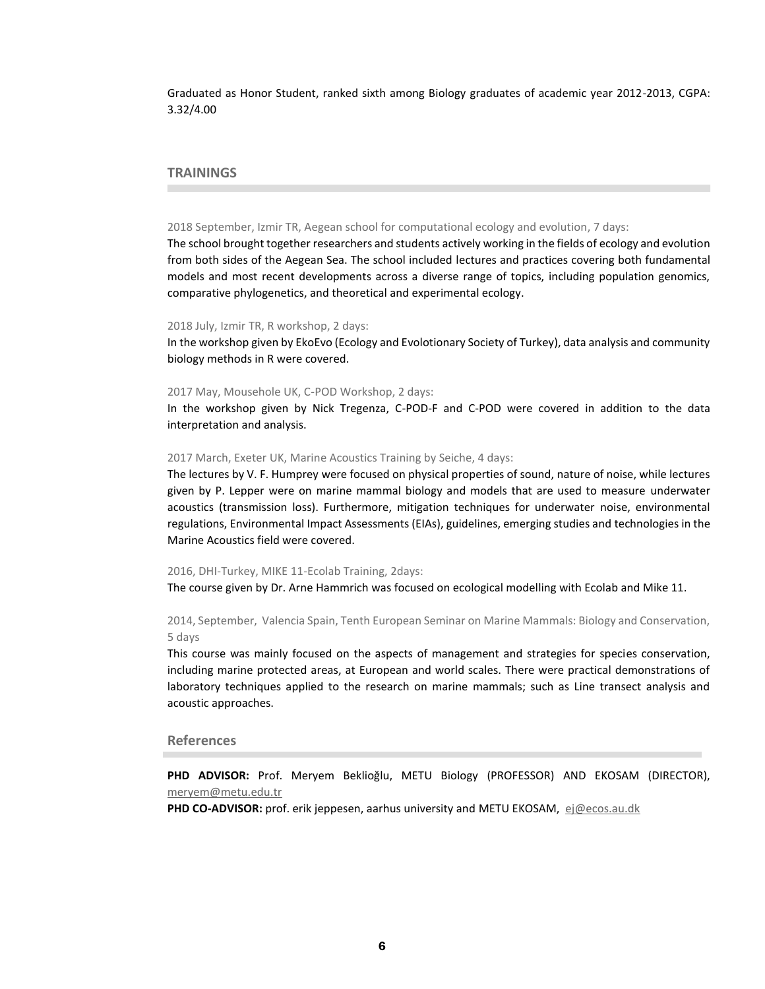Graduated as Honor Student, ranked sixth among Biology graduates of academic year 2012-2013, CGPA: 3.32/4.00

# **TRAININGS**

#### 2018 September, Izmir TR, Aegean school for computational ecology and evolution, 7 days:

The school brought together researchers and students actively working in the fields of ecology and evolution from both sides of the Aegean Sea. The school included lectures and practices covering both fundamental models and most recent developments across a diverse range of topics, including population genomics, comparative phylogenetics, and theoretical and experimental ecology.

#### 2018 July, Izmir TR, R workshop, 2 days:

In the workshop given by EkoEvo (Ecology and Evolotionary Society of Turkey), data analysis and community biology methods in R were covered.

#### 2017 May, Mousehole UK, C-POD Workshop, 2 days:

In the workshop given by Nick Tregenza, C-POD-F and C-POD were covered in addition to the data interpretation and analysis.

#### 2017 March, Exeter UK, Marine Acoustics Training by Seiche, 4 days:

The lectures by V. F. Humprey were focused on physical properties of sound, nature of noise, while lectures given by P. Lepper were on marine mammal biology and models that are used to measure underwater acoustics (transmission loss). Furthermore, mitigation techniques for underwater noise, environmental regulations, Environmental Impact Assessments (EIAs), guidelines, emerging studies and technologies in the Marine Acoustics field were covered.

#### 2016, DHI-Turkey, MIKE 11-Ecolab Training, 2days:

The course given by Dr. Arne Hammrich was focused on ecological modelling with Ecolab and Mike 11.

# 2014, September, Valencia Spain, Tenth European Seminar on Marine Mammals: Biology and Conservation, 5 days

This course was mainly focused on the aspects of management and strategies for species conservation, including marine protected areas, at European and world scales. There were practical demonstrations of laboratory techniques applied to the research on marine mammals; such as Line transect analysis and acoustic approaches.

# **References**

**PHD ADVISOR:** Prof. Meryem Beklioğlu, METU Biology (PROFESSOR) AND EKOSAM (DIRECTOR), [meryem@metu.edu.tr](mailto:meryem@metu.edu.tr)

**PHD CO-ADVISOR:** prof. erik jeppesen, aarhus university and METU EKOSAM, [ej@ecos.au.dk](mailto:ej@ecos.au.dk)